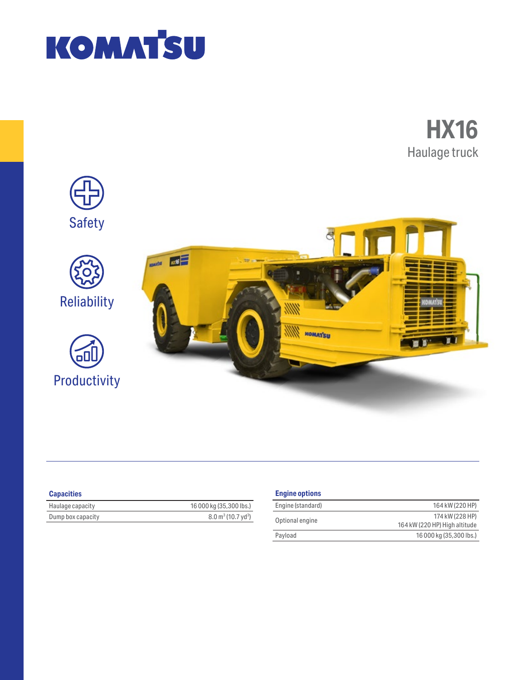





| <b>Capacities</b> |  |
|-------------------|--|
|                   |  |

| Haulage capacity  | 16 000 kg (35,300 lbs.)                   |
|-------------------|-------------------------------------------|
| Dump box capacity | $8.0 \text{ m}^3$ (10.7 yd <sup>3</sup> ) |

# **Engine options**

| Engine (standard) | 164 kW (220 HP)               |
|-------------------|-------------------------------|
| Optional engine   | 174 kW (228 HP)               |
|                   | 164 kW (220 HP) High altitude |
| Payload           | 16 000 kg (35,300 lbs.)       |
|                   |                               |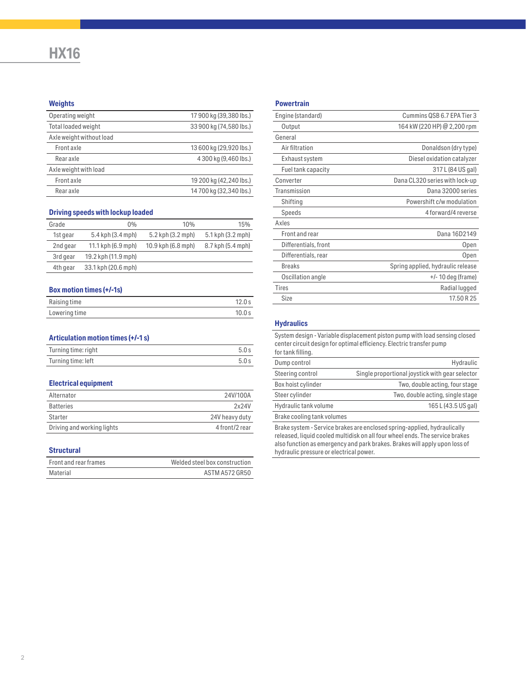# **HX16**

## **Weights**

| Operating weight           | 17 900 kg (39,380 lbs.) |
|----------------------------|-------------------------|
| <b>Total loaded weight</b> | 33 900 kg (74,580 lbs.) |
| Axle weight without load   |                         |
| Front axle                 | 13 600 kg (29,920 lbs.) |
| Rear axle                  | 4 300 kg (9,460 lbs.)   |
| Axle weight with load      |                         |
| Front axle                 | 19 200 kg (42,240 lbs.) |
| Rear axle                  | 14 700 kg (32,340 lbs.) |
|                            |                         |

# **Driving speeds with lockup loaded**

| Grade    | 0%                  | 10%                | 15%               |
|----------|---------------------|--------------------|-------------------|
| 1st gear | 5.4 kph (3.4 mph)   | 5.2 kph (3.2 mph)  | 5.1 kph (3.2 mph) |
| 2nd gear | 11.1 kph (6.9 mph)  | 10.9 kph (6.8 mph) | 8.7 kph (5.4 mph) |
| 3rd gear | 19.2 kph (11.9 mph) |                    |                   |
| 4th gear | 33.1 kph (20.6 mph) |                    |                   |

#### **Box motion times (+/-1s)**

| Raising time  | 12.0 s |
|---------------|--------|
| Lowering time | 10.0 s |

#### **Articulation motion times (+/-1 s)**

| Turning time: right | 5.0s |
|---------------------|------|
| Turning time: left  | 5.0s |

#### **Electrical equipment**

| Alternator                 | 24V/100A       |
|----------------------------|----------------|
| <b>Batteries</b>           | 2x24V          |
| Starter                    | 24V heavy duty |
| Driving and working lights | 4 front/2 rear |

#### **Structural**

| Front and rear frames | Welded steel box construction |
|-----------------------|-------------------------------|
| Material              | ASTM A572 GR50                |

## **Powertrain**

| Engine (standard)    | Cummins QSB 6.7 EPA Tier 3        |
|----------------------|-----------------------------------|
| Output               | 164 kW (220 HP) @ 2,200 rpm       |
| General              |                                   |
| Air filtration       | Donaldson (dry type)              |
| Exhaust system       | Diesel oxidation catalyzer        |
| Fuel tank capacity   | 317 L (84 US gal)                 |
| Converter            | Dana CL320 series with lock-up    |
| Transmission         | Dana 32000 series                 |
| Shifting             | Powershift c/w modulation         |
| Speeds               | 4 forward/4 reverse               |
| Axles                |                                   |
| Front and rear       | Dana 16D2149                      |
| Differentials, front | Open                              |
| Differentials, rear  | Open                              |
| <b>Breaks</b>        | Spring applied, hydraulic release |
| Oscillation angle    | $+/-$ 10 deg (frame)              |
| <b>Tires</b>         | Radial lugged                     |
| Size                 | 17.50 R 25                        |
|                      |                                   |

#### **Hydraulics**

System design - Variable displacement piston pump with load sensing closed center circuit design for optimal efficiency. Electric transfer pump for tank filling.

| $191$ Caths Hilling.                                                     |                                                 |
|--------------------------------------------------------------------------|-------------------------------------------------|
| Dump control                                                             | Hydraulic                                       |
| Steering control                                                         | Single proportional joystick with gear selector |
| Box hoist cylinder                                                       | Two, double acting, four stage                  |
| Steer cylinder                                                           | Two, double acting, single stage                |
| Hydraulic tank volume                                                    | 165 L (43.5 US gal)                             |
| Brake cooling tank volumes                                               |                                                 |
| Brake system - Service brakes are enclosed spring-applied, hydraulically |                                                 |

released, liquid cooled multidisk on all four wheel ends. The service brakes also function as emergency and park brakes. Brakes will apply upon loss of hydraulic pressure or electrical power.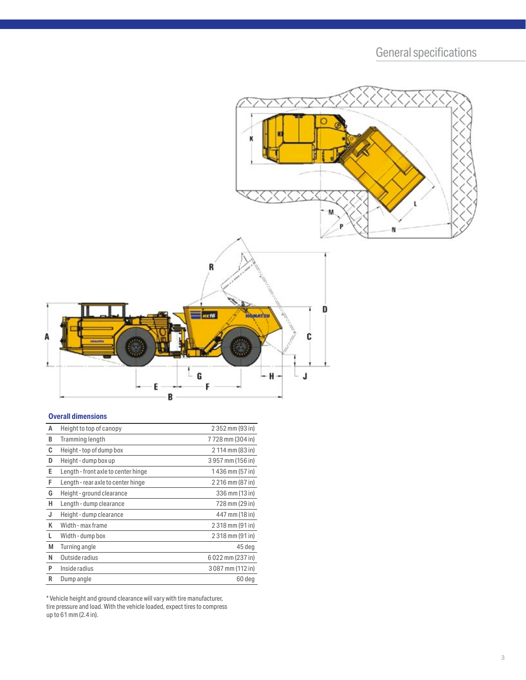General specifications



# **Overall dimensions**

| А | Height to top of canopy             | 2 352 mm (93 in) |
|---|-------------------------------------|------------------|
| В | Tramming length                     | 7728 mm (304 in) |
| C | Height - top of dump box            | 2 114 mm (83 in) |
| D | Height - dump box up                | 3957 mm (156 in) |
| E | Length - front axle to center hinge | 1436 mm (57 in)  |
| F | Length - rear axle to center hinge  | 2 216 mm (87 in) |
| G | Height - ground clearance           | 336 mm (13 in)   |
| н | Length - dump clearance             | 728 mm (29 in)   |
| J | Height - dump clearance             | 447 mm (18 in)   |
| K | Width - max frame                   | 2 318 mm (91 in) |
| L | Width - dump box                    | 2 318 mm (91 in) |
| М | Turning angle                       | 45 deg           |
| N | Outside radius                      | 6022 mm (237 in) |
| P | Inside radius                       | 3087 mm (112 in) |
| R | Dump angle                          | 60 deg           |

\* Vehicle height and ground clearance will vary with tire manufacturer, tire pressure and load. With the vehicle loaded, expect tires to compress up to 61 mm (2.4 in).